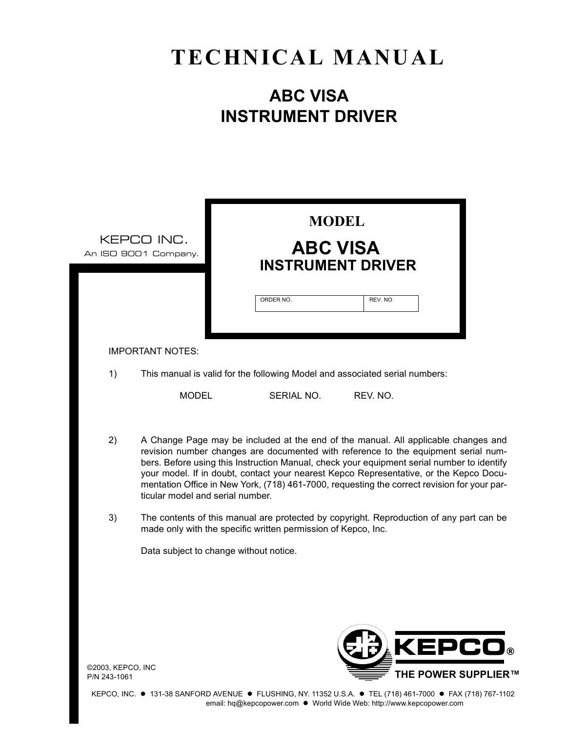# **TECHNICAL MANUAL**

# **ABC VISA INSTRUMENT DRIVER**

|                                   | <b>MODEL</b><br>KEPCO INC.<br><b>ABC VISA</b><br>An ISO 9001 Company.<br><b>INSTRUMENT DRIVER</b>                                                                                                                                                                                                                                                                                                                                                                                                   |  |
|-----------------------------------|-----------------------------------------------------------------------------------------------------------------------------------------------------------------------------------------------------------------------------------------------------------------------------------------------------------------------------------------------------------------------------------------------------------------------------------------------------------------------------------------------------|--|
|                                   | ORDER NO.<br>REV. NO                                                                                                                                                                                                                                                                                                                                                                                                                                                                                |  |
|                                   | <b>IMPORTANT NOTES:</b>                                                                                                                                                                                                                                                                                                                                                                                                                                                                             |  |
| 1)                                | This manual is valid for the following Model and associated serial numbers:                                                                                                                                                                                                                                                                                                                                                                                                                         |  |
|                                   | <b>MODEL</b><br>SERIAL NO.<br>REV. NO.                                                                                                                                                                                                                                                                                                                                                                                                                                                              |  |
| 2)                                | A Change Page may be included at the end of the manual. All applicable changes and<br>revision number changes are documented with reference to the equipment serial num-<br>bers. Before using this Instruction Manual, check your equipment serial number to identify<br>your model. If in doubt, contact your nearest Kepco Representative, or the Kepco Docu-<br>mentation Office in New York, (718) 461-7000, requesting the correct revision for your par-<br>ticular model and serial number. |  |
| 3)                                | The contents of this manual are protected by copyright. Reproduction of any part can be<br>made only with the specific written permission of Kepco, Inc.                                                                                                                                                                                                                                                                                                                                            |  |
|                                   | Data subject to change without notice.                                                                                                                                                                                                                                                                                                                                                                                                                                                              |  |
|                                   |                                                                                                                                                                                                                                                                                                                                                                                                                                                                                                     |  |
| ©2003, KEPCO, INC<br>P/N 243-1061 | <b>KEPCO®</b><br><b>THE POWER SUPPLIER™</b>                                                                                                                                                                                                                                                                                                                                                                                                                                                         |  |

KEPCO, INC. . 131-38 SANFORD AVENUE . FLUSHING, NY. 11352 U.S.A. · TEL (718) 461-7000 · FAX (718) 767-1102 email: hq@kepcopower.com . World Wide Web: http://www.kepcopower.com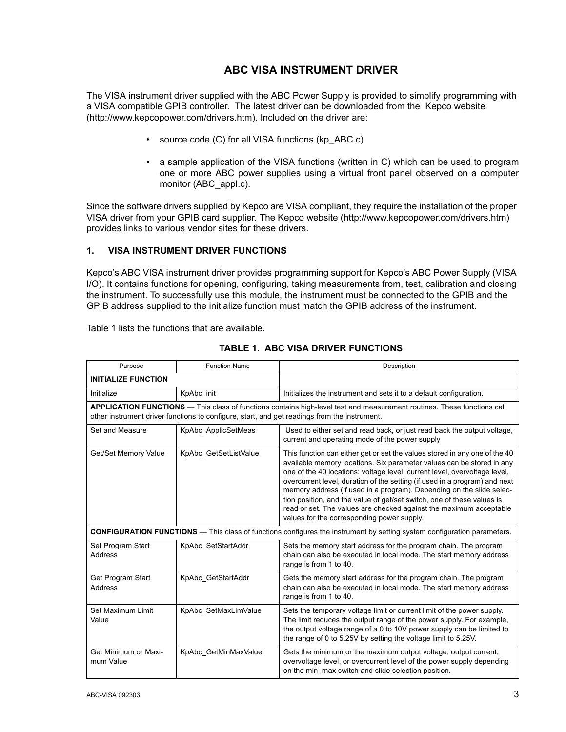# **ABC VISA INSTRUMENT DRIVER**

The VISA instrument driver supplied with the ABC Power Supply is provided to simplify programming with a VISA compatible GPIB controller. The latest driver can be downloaded from the Kepco website (http://www.kepcopower.com/drivers.htm). Included on the driver are:

- source code (C) for all VISA functions (kp\_ABC.c)
- a sample application of the VISA functions (written in C) which can be used to program one or more ABC power supplies using a virtual front panel observed on a computer monitor (ABC\_appl.c).

Since the software drivers supplied by Kepco are VISA compliant, they require the installation of the proper VISA driver from your GPIB card supplier. The Kepco website (http://www.kepcopower.com/drivers.htm) provides links to various vendor sites for these drivers.

### **1. VISA INSTRUMENT DRIVER FUNCTIONS**

Kepco's ABC VISA instrument driver provides programming support for Kepco's ABC Power Supply (VISA I/O). It contains functions for opening, configuring, taking measurements from, test, calibration and closing the instrument. To successfully use this module, the instrument must be connected to the GPIB and the GPIB address supplied to the initialize function must match the GPIB address of the instrument.

Table [1](#page-2-0) lists the functions that are available.

<span id="page-2-0"></span>

| Purpose                                                                                                                        | <b>Function Name</b>                                                                         | Description                                                                                                                                                                                                                                                                                                                                                                                                                                                                                                                                                                          |  |
|--------------------------------------------------------------------------------------------------------------------------------|----------------------------------------------------------------------------------------------|--------------------------------------------------------------------------------------------------------------------------------------------------------------------------------------------------------------------------------------------------------------------------------------------------------------------------------------------------------------------------------------------------------------------------------------------------------------------------------------------------------------------------------------------------------------------------------------|--|
| <b>INITIALIZE FUNCTION</b>                                                                                                     |                                                                                              |                                                                                                                                                                                                                                                                                                                                                                                                                                                                                                                                                                                      |  |
| Initialize                                                                                                                     | KpAbc_init                                                                                   | Initializes the instrument and sets it to a default configuration.                                                                                                                                                                                                                                                                                                                                                                                                                                                                                                                   |  |
|                                                                                                                                | other instrument driver functions to configure, start, and get readings from the instrument. | APPLICATION FUNCTIONS - This class of functions contains high-level test and measurement routines. These functions call                                                                                                                                                                                                                                                                                                                                                                                                                                                              |  |
| Set and Measure                                                                                                                | KpAbc ApplicSetMeas                                                                          | Used to either set and read back, or just read back the output voltage,<br>current and operating mode of the power supply                                                                                                                                                                                                                                                                                                                                                                                                                                                            |  |
| Get/Set Memory Value                                                                                                           | KpAbc_GetSetListValue                                                                        | This function can either get or set the values stored in any one of the 40<br>available memory locations. Six parameter values can be stored in any<br>one of the 40 locations: voltage level, current level, overvoltage level,<br>overcurrent level, duration of the setting (if used in a program) and next<br>memory address (if used in a program). Depending on the slide selec-<br>tion position, and the value of get/set switch, one of these values is<br>read or set. The values are checked against the maximum acceptable<br>values for the corresponding power supply. |  |
| <b>CONFIGURATION FUNCTIONS</b> - This class of functions configures the instrument by setting system configuration parameters. |                                                                                              |                                                                                                                                                                                                                                                                                                                                                                                                                                                                                                                                                                                      |  |
| Set Program Start<br>Address                                                                                                   | KpAbc SetStartAddr                                                                           | Sets the memory start address for the program chain. The program<br>chain can also be executed in local mode. The start memory address<br>range is from 1 to 40.                                                                                                                                                                                                                                                                                                                                                                                                                     |  |
| Get Program Start<br>Address                                                                                                   | KpAbc GetStartAddr                                                                           | Gets the memory start address for the program chain. The program<br>chain can also be executed in local mode. The start memory address<br>range is from 1 to 40.                                                                                                                                                                                                                                                                                                                                                                                                                     |  |
| Set Maximum Limit<br>Value                                                                                                     | KpAbc SetMaxLimValue                                                                         | Sets the temporary voltage limit or current limit of the power supply.<br>The limit reduces the output range of the power supply. For example,<br>the output voltage range of a 0 to 10V power supply can be limited to<br>the range of 0 to 5.25V by setting the voltage limit to 5.25V.                                                                                                                                                                                                                                                                                            |  |
| Get Minimum or Maxi-<br>mum Value                                                                                              | KpAbc GetMinMaxValue                                                                         | Gets the minimum or the maximum output voltage, output current,<br>overvoltage level, or overcurrent level of the power supply depending<br>on the min_max switch and slide selection position.                                                                                                                                                                                                                                                                                                                                                                                      |  |

### **TABLE 1. ABC VISA DRIVER FUNCTIONS**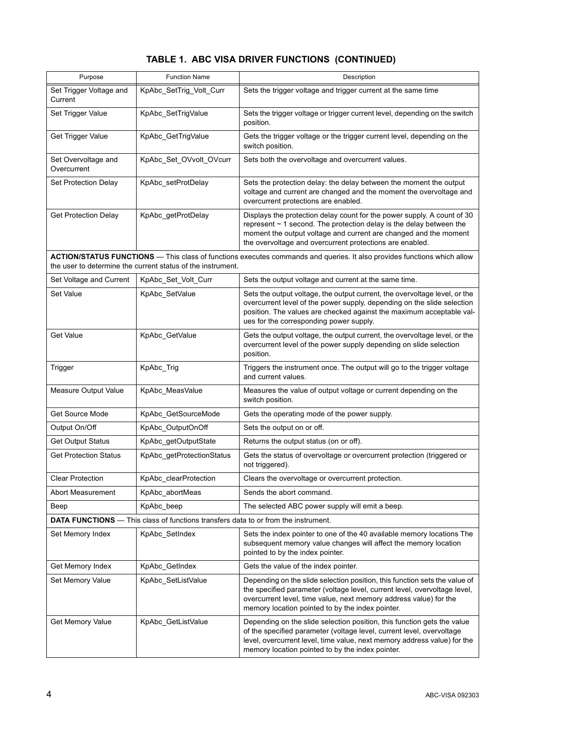# **TABLE 1. ABC VISA DRIVER FUNCTIONS (CONTINUED)**

| Purpose                                                                                   | <b>Function Name</b>                                        | Description                                                                                                                                                                                                                                                                         |  |  |  |
|-------------------------------------------------------------------------------------------|-------------------------------------------------------------|-------------------------------------------------------------------------------------------------------------------------------------------------------------------------------------------------------------------------------------------------------------------------------------|--|--|--|
| Set Trigger Voltage and<br>Current                                                        | KpAbc_SetTrig_Volt_Curr                                     | Sets the trigger voltage and trigger current at the same time                                                                                                                                                                                                                       |  |  |  |
| Set Trigger Value                                                                         | KpAbc_SetTrigValue                                          | Sets the trigger voltage or trigger current level, depending on the switch<br>position.                                                                                                                                                                                             |  |  |  |
| Get Trigger Value                                                                         | KpAbc_GetTrigValue                                          | Gets the trigger voltage or the trigger current level, depending on the<br>switch position.                                                                                                                                                                                         |  |  |  |
| Set Overvoltage and<br>Overcurrent                                                        | KpAbc Set OVvolt OVcurr                                     | Sets both the overvoltage and overcurrent values.                                                                                                                                                                                                                                   |  |  |  |
| Set Protection Delay                                                                      | KpAbc_setProtDelay                                          | Sets the protection delay: the delay between the moment the output<br>voltage and current are changed and the moment the overvoltage and<br>overcurrent protections are enabled.                                                                                                    |  |  |  |
| <b>Get Protection Delay</b>                                                               | KpAbc_getProtDelay                                          | Displays the protection delay count for the power supply. A count of 30<br>represent $\sim$ 1 second. The protection delay is the delay between the<br>moment the output voltage and current are changed and the moment<br>the overvoltage and overcurrent protections are enabled. |  |  |  |
|                                                                                           | the user to determine the current status of the instrument. | ACTION/STATUS FUNCTIONS - This class of functions executes commands and queries. It also provides functions which allow                                                                                                                                                             |  |  |  |
| Set Voltage and Current                                                                   | KpAbc_Set_Volt_Curr                                         | Sets the output voltage and current at the same time.                                                                                                                                                                                                                               |  |  |  |
| Set Value                                                                                 | KpAbc_SetValue                                              | Sets the output voltage, the output current, the overvoltage level, or the<br>overcurrent level of the power supply, depending on the slide selection<br>position. The values are checked against the maximum acceptable val-<br>ues for the corresponding power supply.            |  |  |  |
| Get Value                                                                                 | KpAbc_GetValue                                              | Gets the output voltage, the output current, the overvoltage level, or the<br>overcurrent level of the power supply depending on slide selection<br>position.                                                                                                                       |  |  |  |
| Trigger                                                                                   | KpAbc_Trig                                                  | Triggers the instrument once. The output will go to the trigger voltage<br>and current values.                                                                                                                                                                                      |  |  |  |
| Measure Output Value                                                                      | KpAbc_MeasValue                                             | Measures the value of output voltage or current depending on the<br>switch position.                                                                                                                                                                                                |  |  |  |
| <b>Get Source Mode</b>                                                                    | KpAbc_GetSourceMode                                         | Gets the operating mode of the power supply.                                                                                                                                                                                                                                        |  |  |  |
| Output On/Off                                                                             | KpAbc_OutputOnOff                                           | Sets the output on or off.                                                                                                                                                                                                                                                          |  |  |  |
| <b>Get Output Status</b>                                                                  | KpAbc getOutputState                                        | Returns the output status (on or off).                                                                                                                                                                                                                                              |  |  |  |
| <b>Get Protection Status</b>                                                              | KpAbc_getProtectionStatus                                   | Gets the status of overvoltage or overcurrent protection (triggered or<br>not triggered).                                                                                                                                                                                           |  |  |  |
| <b>Clear Protection</b>                                                                   | KpAbc_clearProtection                                       | Clears the overvoltage or overcurrent protection.                                                                                                                                                                                                                                   |  |  |  |
| Abort Measurement                                                                         | KpAbc_abortMeas                                             | Sends the abort command.                                                                                                                                                                                                                                                            |  |  |  |
| Beep                                                                                      | KpAbc_beep                                                  | The selected ABC power supply will emit a beep.                                                                                                                                                                                                                                     |  |  |  |
| <b>DATA FUNCTIONS</b> — This class of functions transfers data to or from the instrument. |                                                             |                                                                                                                                                                                                                                                                                     |  |  |  |
| Set Memory Index                                                                          | KpAbc_SetIndex                                              | Sets the index pointer to one of the 40 available memory locations The<br>subsequent memory value changes will affect the memory location<br>pointed to by the index pointer.                                                                                                       |  |  |  |
| Get Memory Index                                                                          | KpAbc_GetIndex                                              | Gets the value of the index pointer.                                                                                                                                                                                                                                                |  |  |  |
| Set Memory Value                                                                          | KpAbc SetListValue                                          | Depending on the slide selection position, this function sets the value of<br>the specified parameter (voltage level, current level, overvoltage level,<br>overcurrent level, time value, next memory address value) for the<br>memory location pointed to by the index pointer.    |  |  |  |
| Get Memory Value                                                                          | KpAbc_GetListValue                                          | Depending on the slide selection position, this function gets the value<br>of the specified parameter (voltage level, current level, overvoltage<br>level, overcurrent level, time value, next memory address value) for the<br>memory location pointed to by the index pointer.    |  |  |  |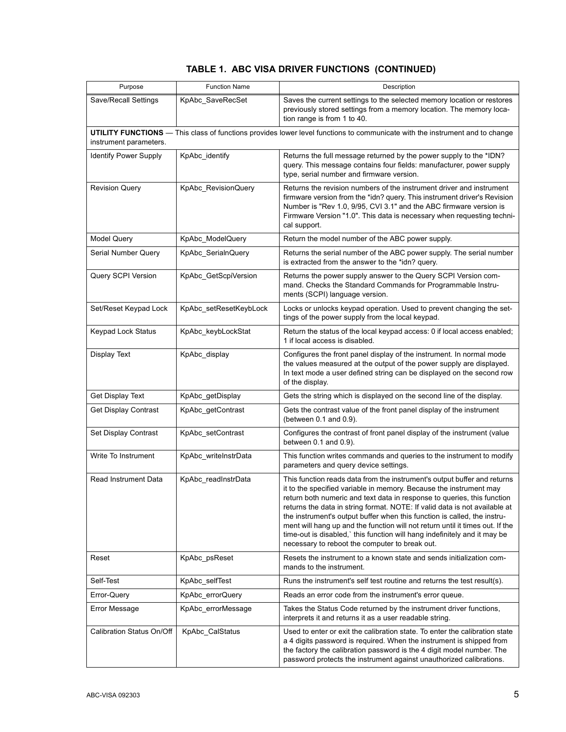|  |  |  |  | TABLE 1. ABC VISA DRIVER FUNCTIONS (CONTINUED) |
|--|--|--|--|------------------------------------------------|
|--|--|--|--|------------------------------------------------|

| Purpose                      | <b>Function Name</b>   | Description                                                                                                                                                                                                                                                                                                                                                                                                                                                                                                                                                                                        |
|------------------------------|------------------------|----------------------------------------------------------------------------------------------------------------------------------------------------------------------------------------------------------------------------------------------------------------------------------------------------------------------------------------------------------------------------------------------------------------------------------------------------------------------------------------------------------------------------------------------------------------------------------------------------|
| Save/Recall Settings         | KpAbc_SaveRecSet       | Saves the current settings to the selected memory location or restores<br>previously stored settings from a memory location. The memory loca-<br>tion range is from 1 to 40.                                                                                                                                                                                                                                                                                                                                                                                                                       |
| instrument parameters.       |                        | UTILITY FUNCTIONS - This class of functions provides lower level functions to communicate with the instrument and to change                                                                                                                                                                                                                                                                                                                                                                                                                                                                        |
| <b>Identify Power Supply</b> | KpAbc_identify         | Returns the full message returned by the power supply to the *IDN?<br>query. This message contains four fields: manufacturer, power supply<br>type, serial number and firmware version.                                                                                                                                                                                                                                                                                                                                                                                                            |
| <b>Revision Query</b>        | KpAbc_RevisionQuery    | Returns the revision numbers of the instrument driver and instrument<br>firmware version from the *idn? query. This instrument driver's Revision<br>Number is "Rev 1.0, 9/95, CVI 3.1" and the ABC firmware version is<br>Firmware Version "1.0". This data is necessary when requesting techni-<br>cal support.                                                                                                                                                                                                                                                                                   |
| <b>Model Query</b>           | KpAbc_ModelQuery       | Return the model number of the ABC power supply.                                                                                                                                                                                                                                                                                                                                                                                                                                                                                                                                                   |
| Serial Number Query          | KpAbc_SerialnQuery     | Returns the serial number of the ABC power supply. The serial number<br>is extracted from the answer to the *idn? query.                                                                                                                                                                                                                                                                                                                                                                                                                                                                           |
| Query SCPI Version           | KpAbc_GetScpiVersion   | Returns the power supply answer to the Query SCPI Version com-<br>mand. Checks the Standard Commands for Programmable Instru-<br>ments (SCPI) language version.                                                                                                                                                                                                                                                                                                                                                                                                                                    |
| Set/Reset Keypad Lock        | KpAbc_setResetKeybLock | Locks or unlocks keypad operation. Used to prevent changing the set-<br>tings of the power supply from the local keypad.                                                                                                                                                                                                                                                                                                                                                                                                                                                                           |
| <b>Keypad Lock Status</b>    | KpAbc keybLockStat     | Return the status of the local keypad access: 0 if local access enabled;<br>1 if local access is disabled.                                                                                                                                                                                                                                                                                                                                                                                                                                                                                         |
| Display Text                 | KpAbc_display          | Configures the front panel display of the instrument. In normal mode<br>the values measured at the output of the power supply are displayed.<br>In text mode a user defined string can be displayed on the second row<br>of the display.                                                                                                                                                                                                                                                                                                                                                           |
| Get Display Text             | KpAbc_getDisplay       | Gets the string which is displayed on the second line of the display.                                                                                                                                                                                                                                                                                                                                                                                                                                                                                                                              |
| Get Display Contrast         | KpAbc_getContrast      | Gets the contrast value of the front panel display of the instrument<br>(between 0.1 and 0.9).                                                                                                                                                                                                                                                                                                                                                                                                                                                                                                     |
| Set Display Contrast         | KpAbc_setContrast      | Configures the contrast of front panel display of the instrument (value<br>between 0.1 and 0.9).                                                                                                                                                                                                                                                                                                                                                                                                                                                                                                   |
| Write To Instrument          | KpAbc_writeInstrData   | This function writes commands and queries to the instrument to modify<br>parameters and query device settings.                                                                                                                                                                                                                                                                                                                                                                                                                                                                                     |
| Read Instrument Data         | KpAbc_readInstrData    | This function reads data from the instrument's output buffer and returns<br>it to the specified variable in memory. Because the instrument may<br>return both numeric and text data in response to queries, this function<br>returns the data in string format. NOTE: If valid data is not available at<br>the instrument's output buffer when this function is called, the instru-<br>ment will hang up and the function will not return until it times out. If the<br>time-out is disabled, this function will hang indefinitely and it may be<br>necessary to reboot the computer to break out. |
| Reset                        | KpAbc_psReset          | Resets the instrument to a known state and sends initialization com-<br>mands to the instrument.                                                                                                                                                                                                                                                                                                                                                                                                                                                                                                   |
| Self-Test                    | KpAbc selfTest         | Runs the instrument's self test routine and returns the test result(s).                                                                                                                                                                                                                                                                                                                                                                                                                                                                                                                            |
| Error-Query                  | KpAbc_errorQuery       | Reads an error code from the instrument's error queue.                                                                                                                                                                                                                                                                                                                                                                                                                                                                                                                                             |
| Error Message                | KpAbc_errorMessage     | Takes the Status Code returned by the instrument driver functions,<br>interprets it and returns it as a user readable string.                                                                                                                                                                                                                                                                                                                                                                                                                                                                      |
| Calibration Status On/Off    | KpAbc_CalStatus        | Used to enter or exit the calibration state. To enter the calibration state<br>a 4 digits password is required. When the instrument is shipped from<br>the factory the calibration password is the 4 digit model number. The<br>password protects the instrument against unauthorized calibrations.                                                                                                                                                                                                                                                                                                |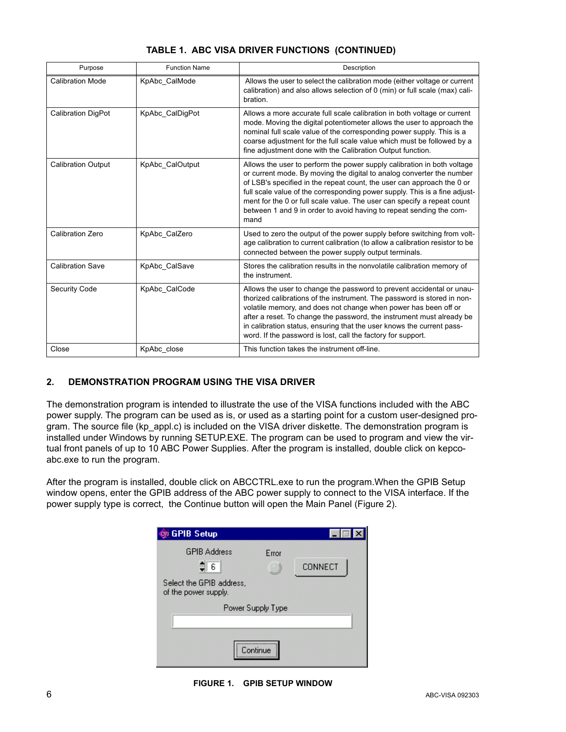| Purpose                   | <b>Function Name</b> | Description                                                                                                                                                                                                                                                                                                                                                                                                                                                        |
|---------------------------|----------------------|--------------------------------------------------------------------------------------------------------------------------------------------------------------------------------------------------------------------------------------------------------------------------------------------------------------------------------------------------------------------------------------------------------------------------------------------------------------------|
| <b>Calibration Mode</b>   | KpAbc CalMode        | Allows the user to select the calibration mode (either voltage or current<br>calibration) and also allows selection of 0 (min) or full scale (max) cali-<br>bration.                                                                                                                                                                                                                                                                                               |
| <b>Calibration DigPot</b> | KpAbc CalDigPot      | Allows a more accurate full scale calibration in both voltage or current<br>mode. Moving the digital potentiometer allows the user to approach the<br>nominal full scale value of the corresponding power supply. This is a<br>coarse adjustment for the full scale value which must be followed by a<br>fine adjustment done with the Calibration Output function.                                                                                                |
| <b>Calibration Output</b> | KpAbc CalOutput      | Allows the user to perform the power supply calibration in both voltage<br>or current mode. By moving the digital to analog converter the number<br>of LSB's specified in the repeat count, the user can approach the 0 or<br>full scale value of the corresponding power supply. This is a fine adjust-<br>ment for the 0 or full scale value. The user can specify a repeat count<br>between 1 and 9 in order to avoid having to repeat sending the com-<br>mand |
| <b>Calibration Zero</b>   | KpAbc CalZero        | Used to zero the output of the power supply before switching from volt-<br>age calibration to current calibration (to allow a calibration resistor to be<br>connected between the power supply output terminals.                                                                                                                                                                                                                                                   |
| <b>Calibration Save</b>   | KpAbc CalSave        | Stores the calibration results in the nonvolatile calibration memory of<br>the instrument.                                                                                                                                                                                                                                                                                                                                                                         |
| Security Code             | KpAbc CalCode        | Allows the user to change the password to prevent accidental or unau-<br>thorized calibrations of the instrument. The password is stored in non-<br>volatile memory, and does not change when power has been off or<br>after a reset. To change the password, the instrument must already be<br>in calibration status, ensuring that the user knows the current pass-<br>word. If the password is lost, call the factory for support.                              |
| Close                     | KpAbc close          | This function takes the instrument off-line.                                                                                                                                                                                                                                                                                                                                                                                                                       |

# **TABLE 1. ABC VISA DRIVER FUNCTIONS (CONTINUED)**

## **2. DEMONSTRATION PROGRAM USING THE VISA DRIVER**

The demonstration program is intended to illustrate the use of the VISA functions included with the ABC power supply. The program can be used as is, or used as a starting point for a custom user-designed program. The source file (kp\_appl.c) is included on the VISA driver diskette. The demonstration program is installed under Windows by running SETUP.EXE. The program can be used to program and view the virtual front panels of up to 10 ABC Power Supplies. After the program is installed, double click on kepcoabc.exe to run the program.

After the program is installed, double click on ABCCTRL.exe to run the program.When the GPIB Setup window opens, enter the GPIB address of the ABC power supply to connect to the VISA interface. If the power supply type is correct, the Continue button will open the Main Panel (Figure [2\)](#page-6-0).



**FIGURE 1. GPIB SETUP WINDOW**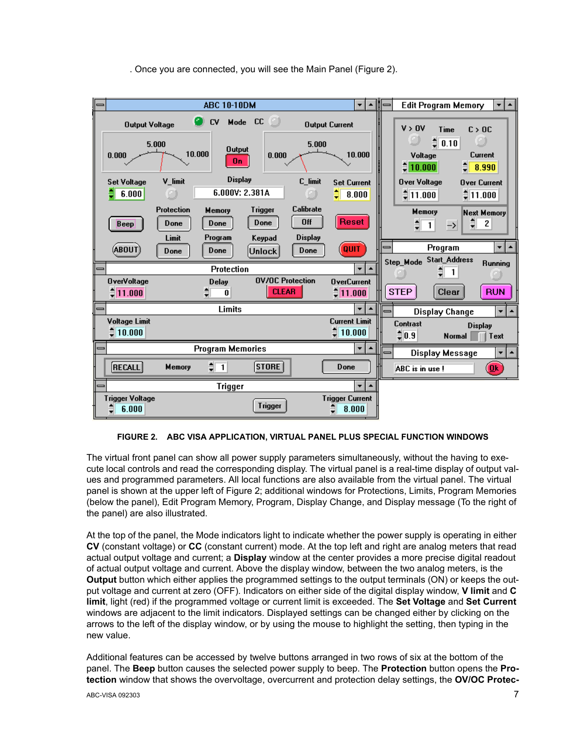



#### **FIGURE 2. ABC VISA APPLICATION, VIRTUAL PANEL PLUS SPECIAL FUNCTION WINDOWS**

<span id="page-6-0"></span>The virtual front panel can show all power supply parameters simultaneously, without the having to execute local controls and read the corresponding display. The virtual panel is a real-time display of output values and programmed parameters. All local functions are also available from the virtual panel. The virtual panel is shown at the upper left of Figure [2](#page-6-0); additional windows for Protections, Limits, Program Memories (below the panel), Edit Program Memory, Program, Display Change, and Display message (To the right of the panel) are also illustrated.

At the top of the panel, the Mode indicators light to indicate whether the power supply is operating in either **CV** (constant voltage) or **CC** (constant current) mode. At the top left and right are analog meters that read actual output voltage and current; a **Display** window at the center provides a more precise digital readout of actual output voltage and current. Above the display window, between the two analog meters, is the **Output** button which either applies the programmed settings to the output terminals (ON) or keeps the output voltage and current at zero (OFF). Indicators on either side of the digital display window, **V limit** and **C limit**, light (red) if the programmed voltage or current limit is exceeded. The **Set Voltage** and **Set Current** windows are adjacent to the limit indicators. Displayed settings can be changed either by clicking on the arrows to the left of the display window, or by using the mouse to highlight the setting, then typing in the new value.

Additional features can be accessed by twelve buttons arranged in two rows of six at the bottom of the panel. The **Beep** button causes the selected power supply to beep. The **Protection** button opens the **Protection** window that shows the overvoltage, overcurrent and protection delay settings, the **OV/OC Protec-**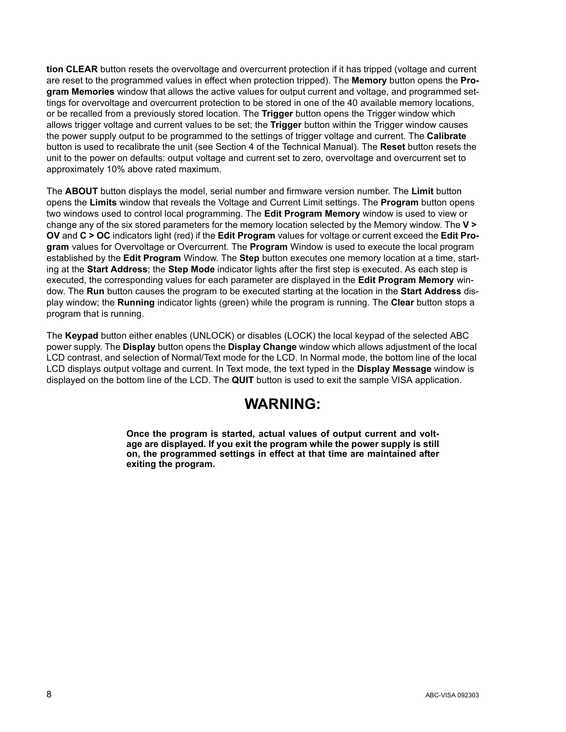**tion CLEAR** button resets the overvoltage and overcurrent protection if it has tripped (voltage and current are reset to the programmed values in effect when protection tripped). The **Memory** button opens the **Program Memories** window that allows the active values for output current and voltage, and programmed settings for overvoltage and overcurrent protection to be stored in one of the 40 available memory locations, or be recalled from a previously stored location. The **Trigger** button opens the Trigger window which allows trigger voltage and current values to be set; the **Trigger** button within the Trigger window causes the power supply output to be programmed to the settings of trigger voltage and current. The **Calibrate** button is used to recalibrate the unit (see Section 4 of the Technical Manual). The **Reset** button resets the unit to the power on defaults: output voltage and current set to zero, overvoltage and overcurrent set to approximately 10% above rated maximum.

The **ABOUT** button displays the model, serial number and firmware version number. The **Limit** button opens the **Limits** window that reveals the Voltage and Current Limit settings. The **Program** button opens two windows used to control local programming. The **Edit Program Memory** window is used to view or change any of the six stored parameters for the memory location selected by the Memory window. The **V > OV** and **C > OC** indicators light (red) if the **Edit Program** values for voltage or current exceed the **Edit Program** values for Overvoltage or Overcurrent. The **Program** Window is used to execute the local program established by the **Edit Program** Window. The **Step** button executes one memory location at a time, starting at the **Start Address**; the **Step Mode** indicator lights after the first step is executed. As each step is executed, the corresponding values for each parameter are displayed in the **Edit Program Memory** window. The **Run** button causes the program to be executed starting at the location in the **Start Address** display window; the **Running** indicator lights (green) while the program is running. The **Clear** button stops a program that is running.

The **Keypad** button either enables (UNLOCK) or disables (LOCK) the local keypad of the selected ABC power supply. The **Display** button opens the **Display Change** window which allows adjustment of the local LCD contrast, and selection of Normal/Text mode for the LCD. In Normal mode, the bottom line of the local LCD displays output voltage and current. In Text mode, the text typed in the **Display Message** window is displayed on the bottom line of the LCD. The **QUIT** button is used to exit the sample VISA application.

# **WARNING:**

**Once the program is started, actual values of output current and voltage are displayed. If you exit the program while the power supply is still on, the programmed settings in effect at that time are maintained after exiting the program.**